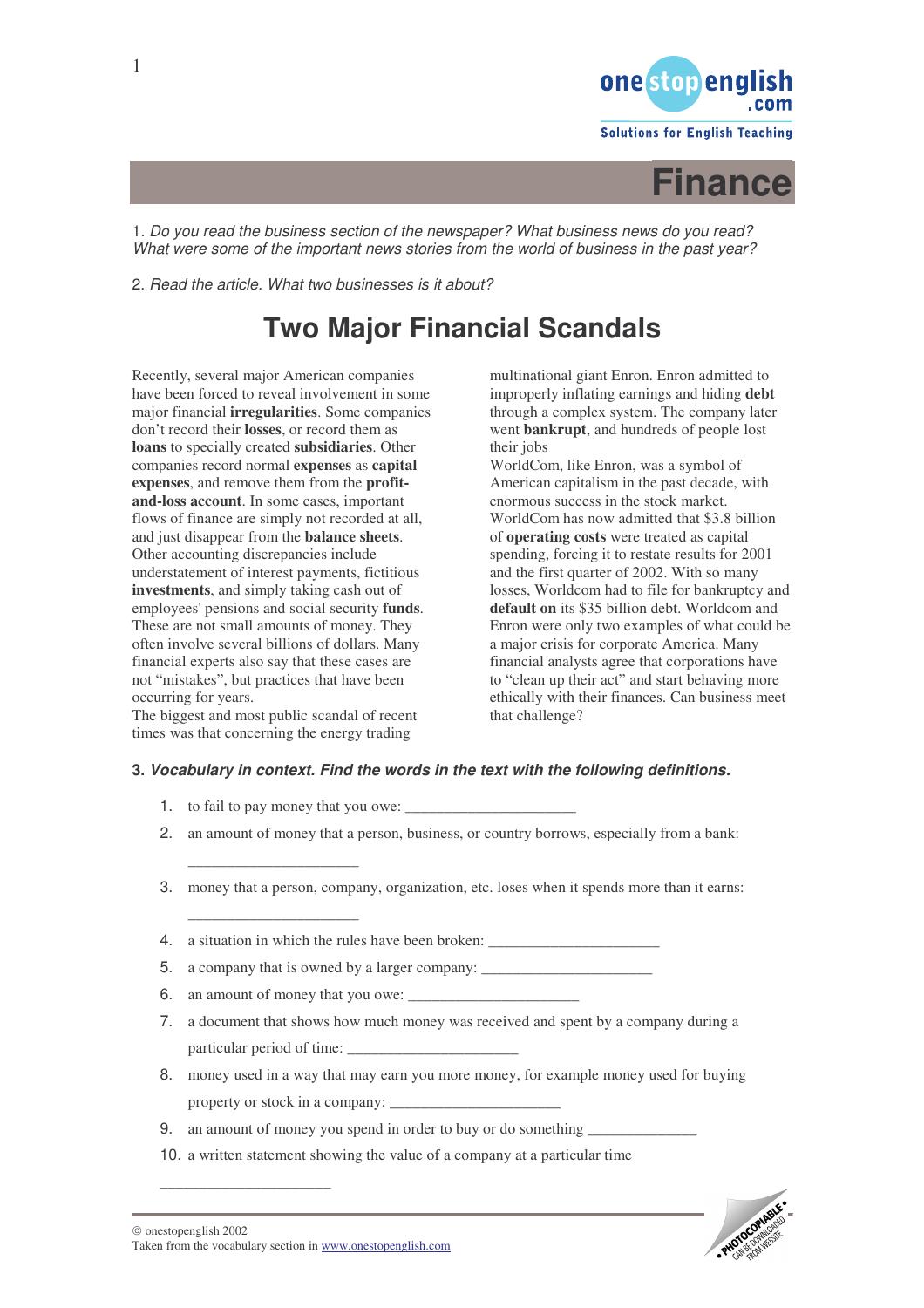

**Solutions for English Teaching** 



1*. Do you read the business section of the newspaper? What business news do you read? What were some of the important news stories from the world of business in the past year?*

2. *Read the article. What two businesses is it about?*

# **Two Major Financial Scandals**

Recently, several major American companies have been forced to reveal involvement in some major financial **irregularities**. Some companies don't record their **losses**, or record them as **loans** to specially created **subsidiaries**. Other companies record normal **expenses** as **capital expenses**, and remove them from the **profitand-loss account**. In some cases, important flows of finance are simply not recorded at all, and just disappear from the **balance sheets**. Other accounting discrepancies include understatement of interest payments, fictitious **investments**, and simply taking cash out of employees'pensions and social security **funds**. These are not small amounts of money. They often involve several billions of dollars. Many financial experts also say that these cases are not "mistakes", but practices that have been occurring for years.

The biggest and most public scandal of recent times was that concerning the energy trading

multinational giant Enron. Enron admitted to improperly inflating earnings and hiding **debt** through a complex system. The company later went **bankrupt**, and hundreds of people lost their jobs

WorldCom, like Enron, was a symbol of American capitalism in the past decade, with enormous success in the stock market. WorldCom has now admitted that \$3.8 billion of **operating costs** were treated as capital spending, forcing it to restate results for 2001 and the first quarter of 2002. With so many losses, Worldcom had to file for bankruptcy and **default on** its \$35 billion debt. Worldcom and Enron were only two examples of what could be a major crisis for corporate America. Many financial analysts agree that corporations have to "clean up their act" and start behaving more ethically with their finances. Can business meet that challenge?

## **3.** *Vocabulary in context. Find the words in the text with the following definitions*

1. to fail to pay money that you owe:

\_\_\_\_\_\_\_\_\_\_\_\_\_\_\_\_\_\_\_\_\_\_

\_\_\_\_\_\_\_\_\_\_\_\_\_\_\_\_\_\_\_\_\_\_

- 2. an amount of money that a person, business, or country borrows, especially from a bank:
- 3. money that a person, company, organization, etc. loses when it spends more than it earns:
- 4. a situation in which the rules have been broken:
- 5. a company that is owned by a larger company:
- 6. an amount of money that you owe:
- 7. a document that shows how much money was received and spent by a company during a particular period of time:
- 8. money used in a way that may earn you more money, for example money used for buying property or stock in a company:
- 9. an amount of money you spend in order to buy or do something
- 10. a written statement showing the value of a company at a particular time

\_\_\_\_\_\_\_\_\_\_\_\_\_\_\_\_\_\_\_\_\_\_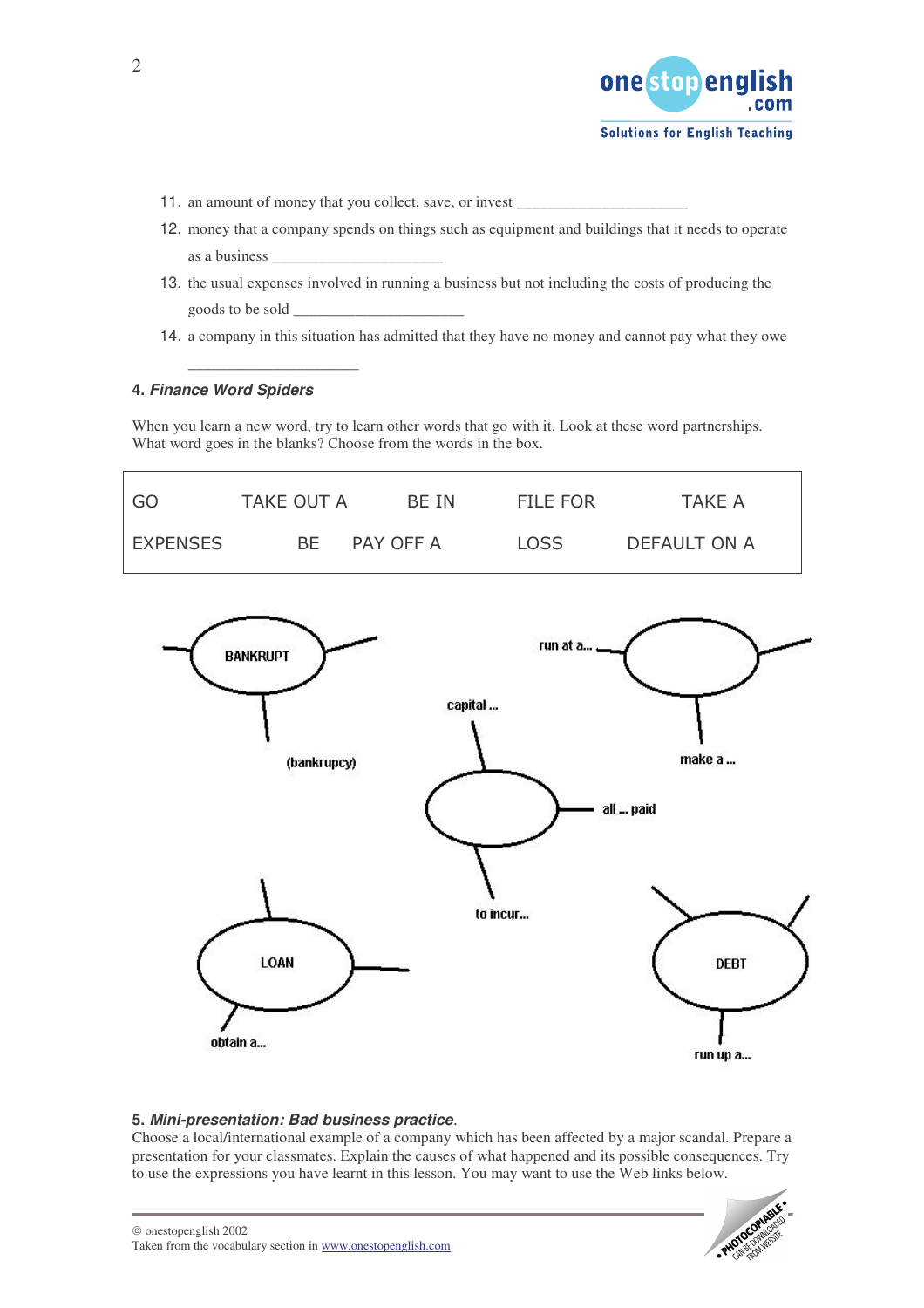

- 11. an amount of money that you collect, save, or invest
- 12. money that a company spends on things such as equipment and buildings that it needs to operate as a business \_\_\_\_\_\_\_\_\_\_\_\_\_\_\_\_\_\_\_\_\_\_
- 13. the usual expenses involved in running a business but not including the costs of producing the goods to be sold \_\_\_\_\_\_\_\_\_\_\_\_\_\_\_\_\_\_\_\_\_\_
- 14. a company in this situation has admitted that they have no money and cannot pay what they owe

## **4.** *Finance Word Spiders*

\_\_\_\_\_\_\_\_\_\_\_\_\_\_\_\_\_\_\_\_\_\_

When you learn a new word, try to learn other words that go with it. Look at these word partnerships. What word goes in the blanks? Choose from the words in the box.



### **5.** *Mini-presentation: Bad business practice*-

Choose a local/international example of a company which has been affected by a major scandal. Prepare a presentation for your classmates. Explain the causes of what happened and its possible consequences. Try to use the expressions you have learnt in this lesson. You may want to use the Web links below.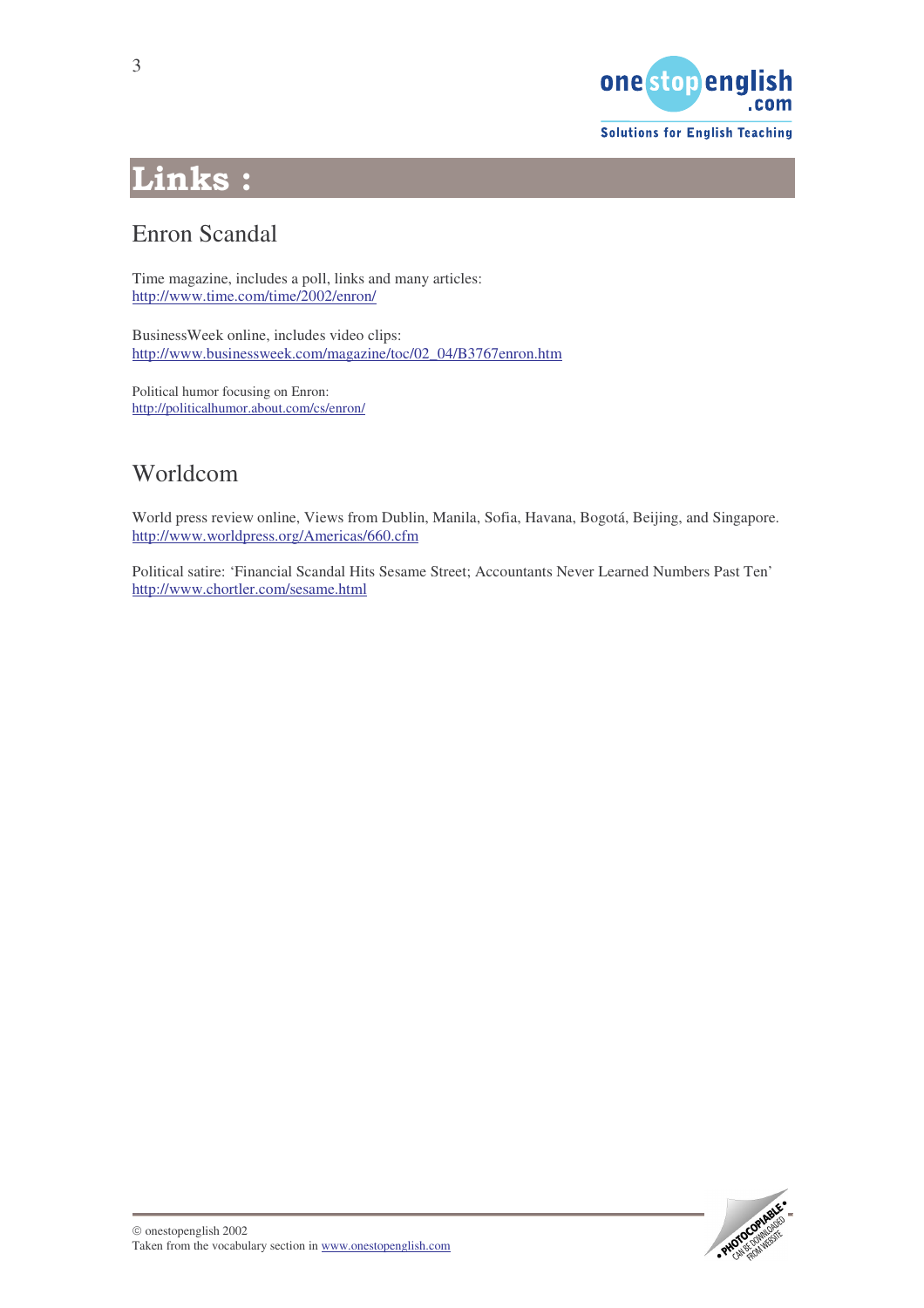

**Solutions for English Teaching** 

# Links:

## Enron Scandal

Time magazine, includes a poll, links and many articles: <http://www.time.com/time/2002/enron/>

BusinessWeek online, includes video clips: [http://www.businessweek.com/magazine/toc/02\\_04/B3767enron.htm](http://www.businessweek.com/magazine/toc/02_04/B3767enron.htm)

Political humor focusing on Enron: <http://politicalhumor.about.com/cs/enron/>

## Worldcom

World press review online, Views from Dublin, Manila, Sofia, Havana, Bogotá, Beijing, and Singapore. <http://www.worldpress.org/Americas/660.cfm>

Political satire: 'Financial Scandal Hits Sesame Street; Accountants Never Learned Numbers Past Ten' <http://www.chortler.com/sesame.html>